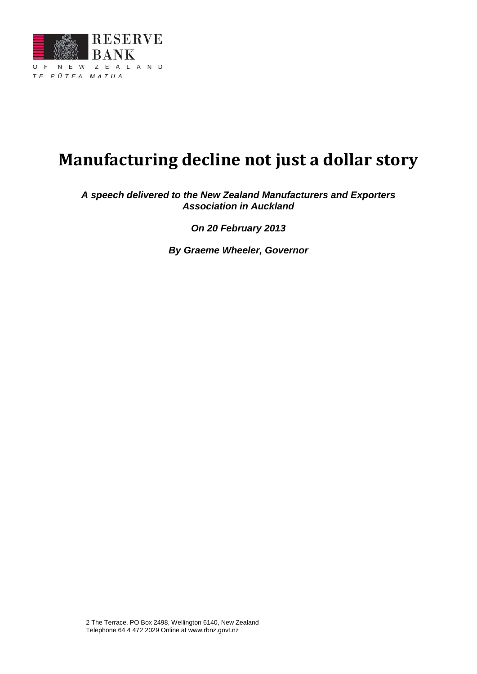

# **Manufacturing decline not just a dollar story**

*A speech delivered to the New Zealand Manufacturers and Exporters Association in Auckland*

*On 20 February 2013*

*By Graeme Wheeler, Governor*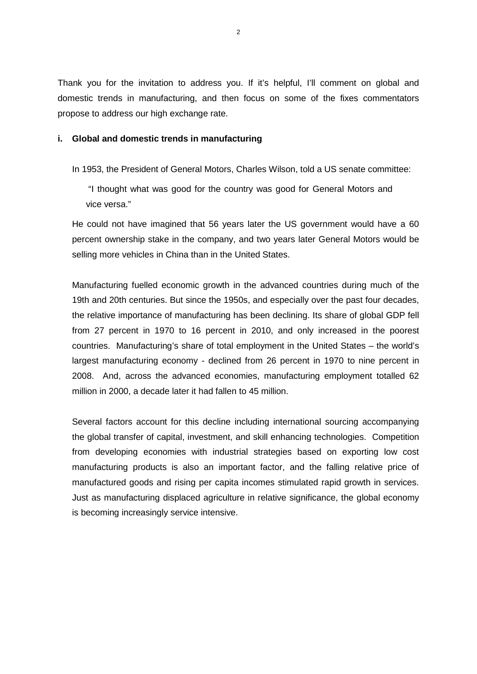Thank you for the invitation to address you. If it's helpful, I'll comment on global and domestic trends in manufacturing, and then focus on some of the fixes commentators propose to address our high exchange rate.

### **i. Global and domestic trends in manufacturing**

In 1953, the President of General Motors, Charles Wilson, told a US senate committee:

"I thought what was good for the country was good for General Motors and vice versa."

He could not have imagined that 56 years later the US government would have a 60 percent ownership stake in the company, and two years later General Motors would be selling more vehicles in China than in the United States.

Manufacturing fuelled economic growth in the advanced countries during much of the 19th and 20th centuries. But since the 1950s, and especially over the past four decades, the relative importance of manufacturing has been declining. Its share of global GDP fell from 27 percent in 1970 to 16 percent in 2010, and only increased in the poorest countries. Manufacturing's share of total employment in the United States – the world's largest manufacturing economy - declined from 26 percent in 1970 to nine percent in 2008. And, across the advanced economies, manufacturing employment totalled 62 million in 2000, a decade later it had fallen to 45 million.

Several factors account for this decline including international sourcing accompanying the global transfer of capital, investment, and skill enhancing technologies. Competition from developing economies with industrial strategies based on exporting low cost manufacturing products is also an important factor, and the falling relative price of manufactured goods and rising per capita incomes stimulated rapid growth in services. Just as manufacturing displaced agriculture in relative significance, the global economy is becoming increasingly service intensive.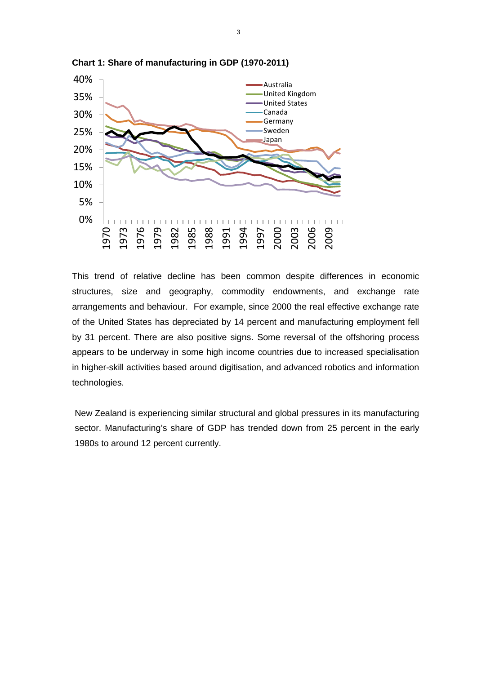

**Chart 1: Share of manufacturing in GDP (1970-2011)** 

This trend of relative decline has been common despite differences in economic structures, size and geography, commodity endowments, and exchange rate arrangements and behaviour. For example, since 2000 the real effective exchange rate of the United States has depreciated by 14 percent and manufacturing employment fell by 31 percent. There are also positive signs. Some reversal of the offshoring process appears to be underway in some high income countries due to increased specialisation in higher-skill activities based around digitisation, and advanced robotics and information technologies.

New Zealand is experiencing similar structural and global pressures in its manufacturing sector. Manufacturing's share of GDP has trended down from 25 percent in the early 1980s to around 12 percent currently.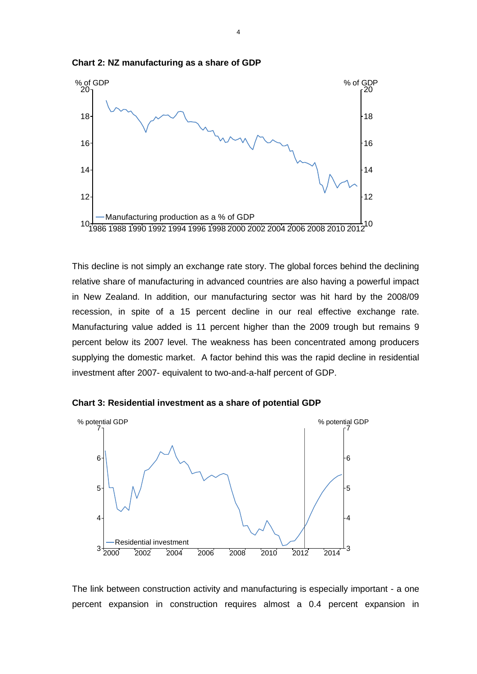

**Chart 2: NZ manufacturing as a share of GDP**

This decline is not simply an exchange rate story. The global forces behind the declining relative share of manufacturing in advanced countries are also having a powerful impact in New Zealand. In addition, our manufacturing sector was hit hard by the 2008/09 recession, in spite of a 15 percent decline in our real effective exchange rate. Manufacturing value added is 11 percent higher than the 2009 trough but remains 9 percent below its 2007 level. The weakness has been concentrated among producers supplying the domestic market. A factor behind this was the rapid decline in residential investment after 2007- equivalent to two-and-a-half percent of GDP.





The link between construction activity and manufacturing is especially important - a one percent expansion in construction requires almost a 0.4 percent expansion in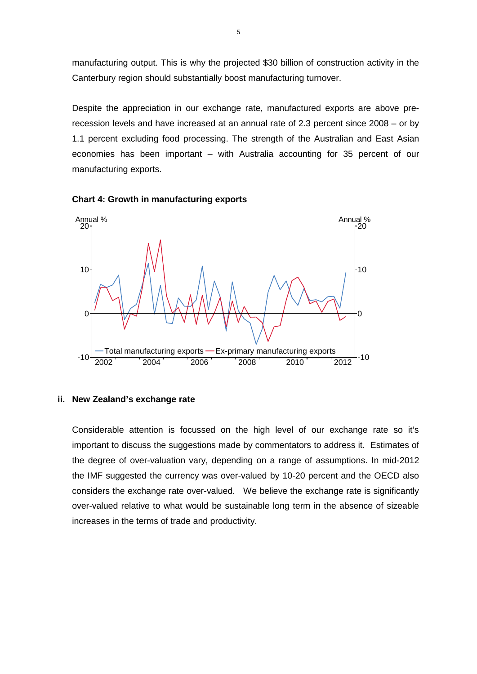manufacturing output. This is why the projected \$30 billion of construction activity in the Canterbury region should substantially boost manufacturing turnover.

Despite the appreciation in our exchange rate, manufactured exports are above prerecession levels and have increased at an annual rate of 2.3 percent since 2008 – or by 1.1 percent excluding food processing. The strength of the Australian and East Asian economies has been important – with Australia accounting for 35 percent of our manufacturing exports.





#### **ii. New Zealand's exchange rate**

Considerable attention is focussed on the high level of our exchange rate so it's important to discuss the suggestions made by commentators to address it. Estimates of the degree of over-valuation vary, depending on a range of assumptions. In mid-2012 the IMF suggested the currency was over-valued by 10-20 percent and the OECD also considers the exchange rate over-valued. We believe the exchange rate is significantly over-valued relative to what would be sustainable long term in the absence of sizeable increases in the terms of trade and productivity.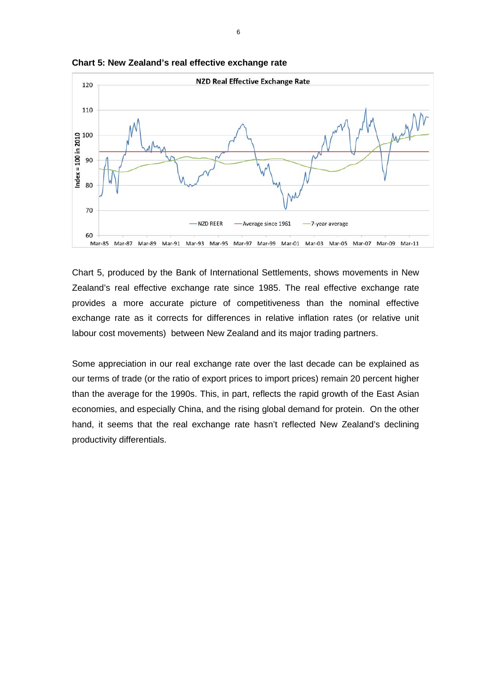

**Chart 5: New Zealand's real effective exchange rate**

Chart 5, produced by the Bank of International Settlements, shows movements in New Zealand's real effective exchange rate since 1985. The real effective exchange rate provides a more accurate picture of competitiveness than the nominal effective exchange rate as it corrects for differences in relative inflation rates (or relative unit labour cost movements) between New Zealand and its major trading partners.

Some appreciation in our real exchange rate over the last decade can be explained as our terms of trade (or the ratio of export prices to import prices) remain 20 percent higher than the average for the 1990s. This, in part, reflects the rapid growth of the East Asian economies, and especially China, and the rising global demand for protein. On the other hand, it seems that the real exchange rate hasn't reflected New Zealand's declining productivity differentials.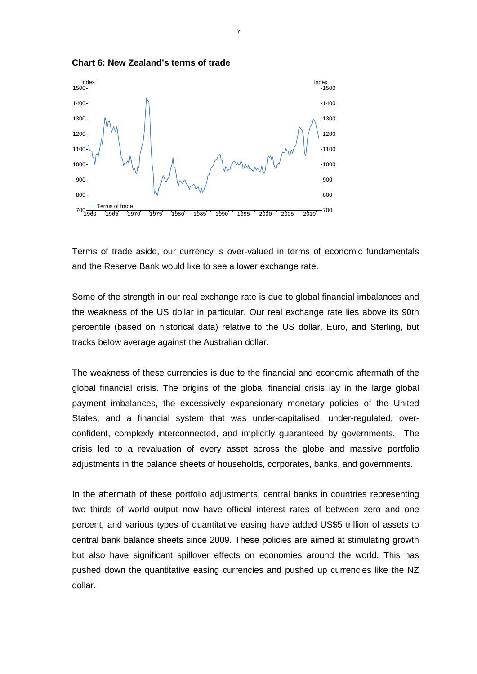



Terms of trade aside, our currency is over-valued in terms of economic fundamentals and the Reserve Bank would like to see a lower exchange rate.

Some of the strength in our real exchange rate is due to global financial imbalances and the weakness of the US dollar in particular. Our real exchange rate lies above its 90th percentile (based on historical data) relative to the US dollar, Euro, and Sterling, but tracks below average against the Australian dollar.

The weakness of these currencies is due to the financial and economic aftermath of the global financial crisis. The origins of the global financial crisis lay in the large global payment imbalances, the excessively expansionary monetary policies of the United States, and a financial system that was under-capitalised, under-regulated, overconfident, complexly interconnected, and implicitly guaranteed by governments. The crisis led to a revaluation of every asset across the globe and massive portfolio adjustments in the balance sheets of households, corporates, banks, and governments.

In the aftermath of these portfolio adjustments, central banks in countries representing two thirds of world output now have official interest rates of between zero and one percent, and various types of quantitative easing have added US\$5 trillion of assets to central bank balance sheets since 2009. These policies are aimed at stimulating growth but also have significant spillover effects on economies around the world. This has pushed down the quantitative easing currencies and pushed up currencies like the NZ dollar.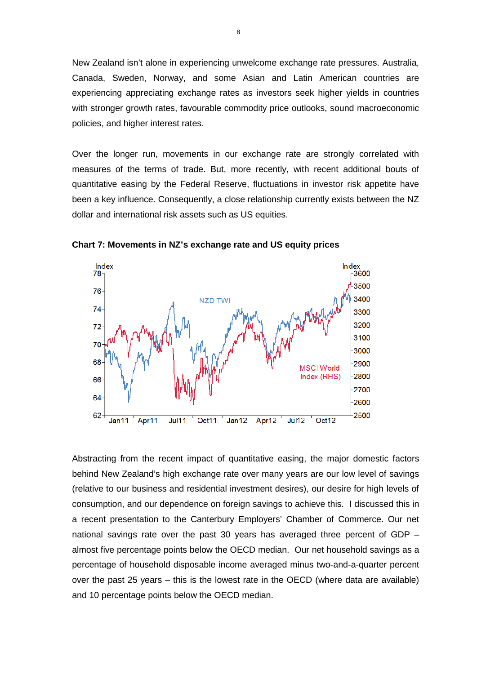New Zealand isn't alone in experiencing unwelcome exchange rate pressures. Australia, Canada, Sweden, Norway, and some Asian and Latin American countries are experiencing appreciating exchange rates as investors seek higher yields in countries with stronger growth rates, favourable commodity price outlooks, sound macroeconomic policies, and higher interest rates.

Over the longer run, movements in our exchange rate are strongly correlated with measures of the terms of trade. But, more recently, with recent additional bouts of quantitative easing by the Federal Reserve, fluctuations in investor risk appetite have been a key influence. Consequently, a close relationship currently exists between the NZ dollar and international risk assets such as US equities.



**Chart 7: Movements in NZ's exchange rate and US equity prices**

Abstracting from the recent impact of quantitative easing, the major domestic factors behind New Zealand's high exchange rate over many years are our low level of savings (relative to our business and residential investment desires), our desire for high levels of consumption, and our dependence on foreign savings to achieve this. I discussed this in a recent presentation to the Canterbury Employers' Chamber of Commerce. Our net national savings rate over the past 30 years has averaged three percent of GDP – almost five percentage points below the OECD median. Our net household savings as a percentage of household disposable income averaged minus two-and-a-quarter percent over the past 25 years – this is the lowest rate in the OECD (where data are available) and 10 percentage points below the OECD median.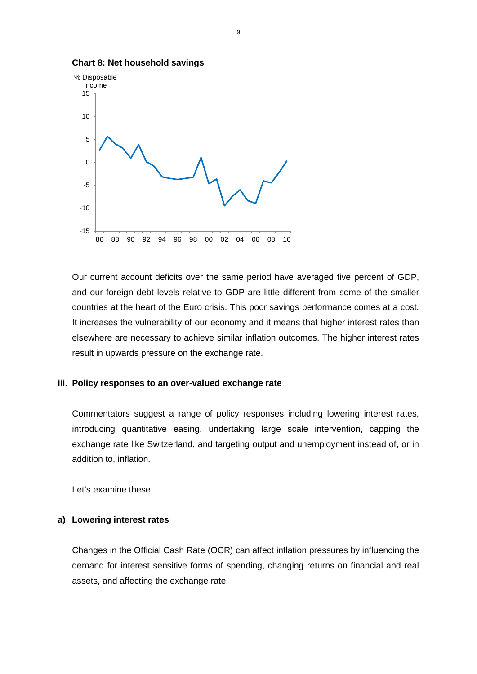

**Chart 8: Net household savings**

Our current account deficits over the same period have averaged five percent of GDP, and our foreign debt levels relative to GDP are little different from some of the smaller countries at the heart of the Euro crisis. This poor savings performance comes at a cost. It increases the vulnerability of our economy and it means that higher interest rates than elsewhere are necessary to achieve similar inflation outcomes. The higher interest rates result in upwards pressure on the exchange rate.

# **iii. Policy responses to an over-valued exchange rate**

Commentators suggest a range of policy responses including lowering interest rates, introducing quantitative easing, undertaking large scale intervention, capping the exchange rate like Switzerland, and targeting output and unemployment instead of, or in addition to, inflation.

Let's examine these.

#### **a) Lowering interest rates**

Changes in the Official Cash Rate (OCR) can affect inflation pressures by influencing the demand for interest sensitive forms of spending, changing returns on financial and real assets, and affecting the exchange rate.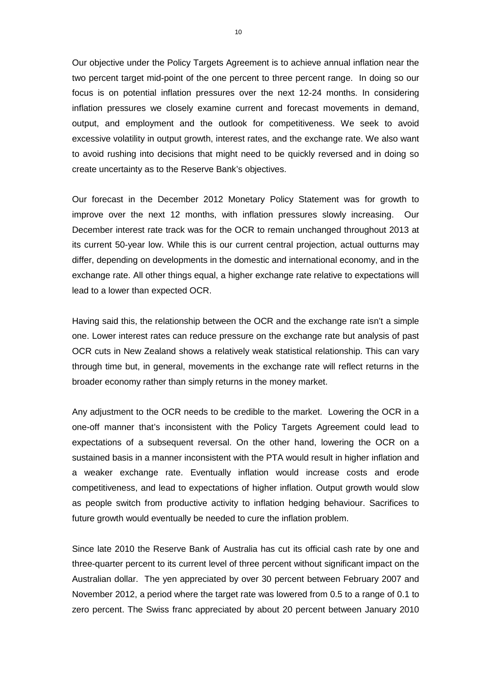Our objective under the Policy Targets Agreement is to achieve annual inflation near the two percent target mid-point of the one percent to three percent range. In doing so our focus is on potential inflation pressures over the next 12-24 months. In considering inflation pressures we closely examine current and forecast movements in demand, output, and employment and the outlook for competitiveness. We seek to avoid excessive volatility in output growth, interest rates, and the exchange rate. We also want to avoid rushing into decisions that might need to be quickly reversed and in doing so create uncertainty as to the Reserve Bank's objectives.

Our forecast in the December 2012 Monetary Policy Statement was for growth to improve over the next 12 months, with inflation pressures slowly increasing. Our December interest rate track was for the OCR to remain unchanged throughout 2013 at its current 50-year low. While this is our current central projection, actual outturns may differ, depending on developments in the domestic and international economy, and in the exchange rate. All other things equal, a higher exchange rate relative to expectations will lead to a lower than expected OCR.

Having said this, the relationship between the OCR and the exchange rate isn't a simple one. Lower interest rates can reduce pressure on the exchange rate but analysis of past OCR cuts in New Zealand shows a relatively weak statistical relationship. This can vary through time but, in general, movements in the exchange rate will reflect returns in the broader economy rather than simply returns in the money market.

Any adjustment to the OCR needs to be credible to the market. Lowering the OCR in a one-off manner that's inconsistent with the Policy Targets Agreement could lead to expectations of a subsequent reversal. On the other hand, lowering the OCR on a sustained basis in a manner inconsistent with the PTA would result in higher inflation and a weaker exchange rate. Eventually inflation would increase costs and erode competitiveness, and lead to expectations of higher inflation. Output growth would slow as people switch from productive activity to inflation hedging behaviour. Sacrifices to future growth would eventually be needed to cure the inflation problem.

Since late 2010 the Reserve Bank of Australia has cut its official cash rate by one and three-quarter percent to its current level of three percent without significant impact on the Australian dollar. The yen appreciated by over 30 percent between February 2007 and November 2012, a period where the target rate was lowered from 0.5 to a range of 0.1 to zero percent. The Swiss franc appreciated by about 20 percent between January 2010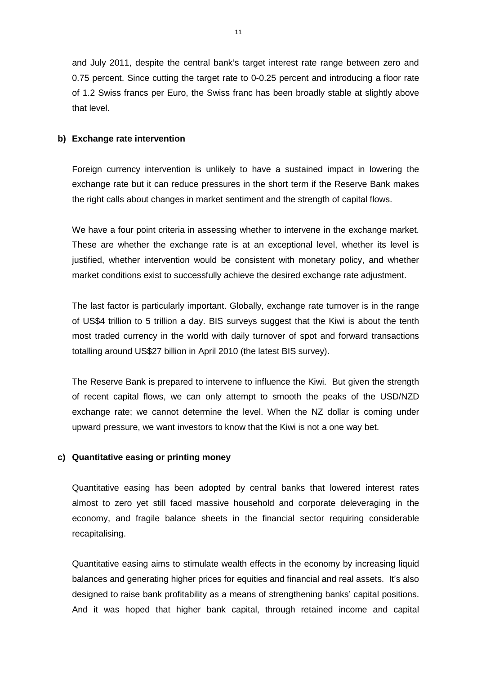and July 2011, despite the central bank's target interest rate range between zero and 0.75 percent. Since cutting the target rate to 0-0.25 percent and introducing a floor rate of 1.2 Swiss francs per Euro, the Swiss franc has been broadly stable at slightly above that level.

## **b) Exchange rate intervention**

Foreign currency intervention is unlikely to have a sustained impact in lowering the exchange rate but it can reduce pressures in the short term if the Reserve Bank makes the right calls about changes in market sentiment and the strength of capital flows.

We have a four point criteria in assessing whether to intervene in the exchange market. These are whether the exchange rate is at an exceptional level, whether its level is justified, whether intervention would be consistent with monetary policy, and whether market conditions exist to successfully achieve the desired exchange rate adjustment.

The last factor is particularly important. Globally, exchange rate turnover is in the range of US\$4 trillion to 5 trillion a day. BIS surveys suggest that the Kiwi is about the tenth most traded currency in the world with daily turnover of spot and forward transactions totalling around US\$27 billion in April 2010 (the latest BIS survey).

The Reserve Bank is prepared to intervene to influence the Kiwi. But given the strength of recent capital flows, we can only attempt to smooth the peaks of the USD/NZD exchange rate; we cannot determine the level. When the NZ dollar is coming under upward pressure, we want investors to know that the Kiwi is not a one way bet.

## **c) Quantitative easing or printing money**

Quantitative easing has been adopted by central banks that lowered interest rates almost to zero yet still faced massive household and corporate deleveraging in the economy, and fragile balance sheets in the financial sector requiring considerable recapitalising.

Quantitative easing aims to stimulate wealth effects in the economy by increasing liquid balances and generating higher prices for equities and financial and real assets. It's also designed to raise bank profitability as a means of strengthening banks' capital positions. And it was hoped that higher bank capital, through retained income and capital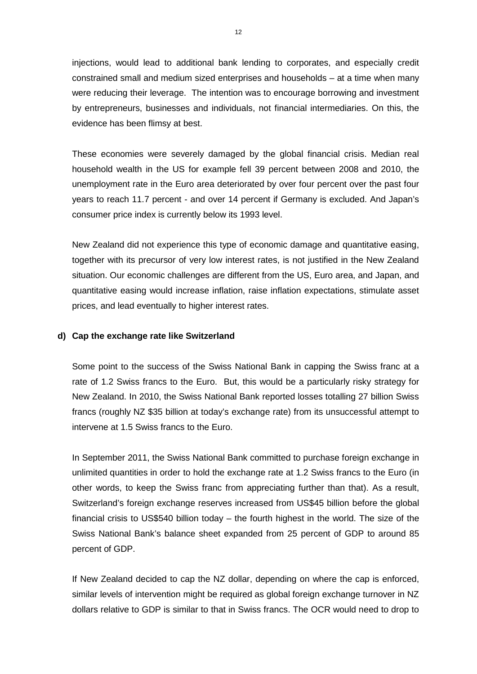injections, would lead to additional bank lending to corporates, and especially credit constrained small and medium sized enterprises and households – at a time when many were reducing their leverage. The intention was to encourage borrowing and investment by entrepreneurs, businesses and individuals, not financial intermediaries. On this, the evidence has been flimsy at best.

These economies were severely damaged by the global financial crisis. Median real household wealth in the US for example fell 39 percent between 2008 and 2010, the unemployment rate in the Euro area deteriorated by over four percent over the past four years to reach 11.7 percent - and over 14 percent if Germany is excluded. And Japan's consumer price index is currently below its 1993 level.

New Zealand did not experience this type of economic damage and quantitative easing, together with its precursor of very low interest rates, is not justified in the New Zealand situation. Our economic challenges are different from the US, Euro area, and Japan, and quantitative easing would increase inflation, raise inflation expectations, stimulate asset prices, and lead eventually to higher interest rates.

# **d) Cap the exchange rate like Switzerland**

Some point to the success of the Swiss National Bank in capping the Swiss franc at a rate of 1.2 Swiss francs to the Euro. But, this would be a particularly risky strategy for New Zealand. In 2010, the Swiss National Bank reported losses totalling 27 billion Swiss francs (roughly NZ \$35 billion at today's exchange rate) from its unsuccessful attempt to intervene at 1.5 Swiss francs to the Euro.

In September 2011, the Swiss National Bank committed to purchase foreign exchange in unlimited quantities in order to hold the exchange rate at 1.2 Swiss francs to the Euro (in other words, to keep the Swiss franc from appreciating further than that). As a result, Switzerland's foreign exchange reserves increased from US\$45 billion before the global financial crisis to US\$540 billion today – the fourth highest in the world. The size of the Swiss National Bank's balance sheet expanded from 25 percent of GDP to around 85 percent of GDP.

If New Zealand decided to cap the NZ dollar, depending on where the cap is enforced, similar levels of intervention might be required as global foreign exchange turnover in NZ dollars relative to GDP is similar to that in Swiss francs. The OCR would need to drop to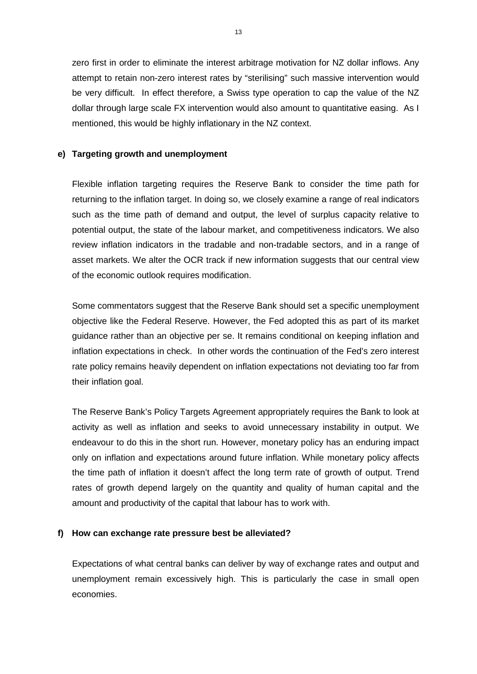zero first in order to eliminate the interest arbitrage motivation for NZ dollar inflows. Any attempt to retain non-zero interest rates by "sterilising" such massive intervention would be very difficult. In effect therefore, a Swiss type operation to cap the value of the NZ dollar through large scale FX intervention would also amount to quantitative easing. As I mentioned, this would be highly inflationary in the NZ context.

# **e) Targeting growth and unemployment**

Flexible inflation targeting requires the Reserve Bank to consider the time path for returning to the inflation target. In doing so, we closely examine a range of real indicators such as the time path of demand and output, the level of surplus capacity relative to potential output, the state of the labour market, and competitiveness indicators. We also review inflation indicators in the tradable and non-tradable sectors, and in a range of asset markets. We alter the OCR track if new information suggests that our central view of the economic outlook requires modification.

Some commentators suggest that the Reserve Bank should set a specific unemployment objective like the Federal Reserve. However, the Fed adopted this as part of its market guidance rather than an objective per se. It remains conditional on keeping inflation and inflation expectations in check. In other words the continuation of the Fed's zero interest rate policy remains heavily dependent on inflation expectations not deviating too far from their inflation goal.

The Reserve Bank's Policy Targets Agreement appropriately requires the Bank to look at activity as well as inflation and seeks to avoid unnecessary instability in output. We endeavour to do this in the short run. However, monetary policy has an enduring impact only on inflation and expectations around future inflation. While monetary policy affects the time path of inflation it doesn't affect the long term rate of growth of output. Trend rates of growth depend largely on the quantity and quality of human capital and the amount and productivity of the capital that labour has to work with.

## **f) How can exchange rate pressure best be alleviated?**

Expectations of what central banks can deliver by way of exchange rates and output and unemployment remain excessively high. This is particularly the case in small open economies.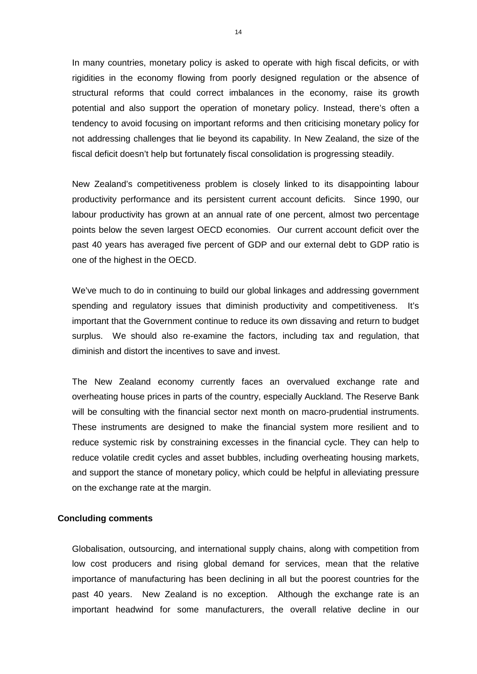In many countries, monetary policy is asked to operate with high fiscal deficits, or with rigidities in the economy flowing from poorly designed regulation or the absence of structural reforms that could correct imbalances in the economy, raise its growth potential and also support the operation of monetary policy. Instead, there's often a tendency to avoid focusing on important reforms and then criticising monetary policy for not addressing challenges that lie beyond its capability. In New Zealand, the size of the fiscal deficit doesn't help but fortunately fiscal consolidation is progressing steadily.

New Zealand's competitiveness problem is closely linked to its disappointing labour productivity performance and its persistent current account deficits. Since 1990, our labour productivity has grown at an annual rate of one percent, almost two percentage points below the seven largest OECD economies. Our current account deficit over the past 40 years has averaged five percent of GDP and our external debt to GDP ratio is one of the highest in the OECD.

We've much to do in continuing to build our global linkages and addressing government spending and regulatory issues that diminish productivity and competitiveness. It's important that the Government continue to reduce its own dissaving and return to budget surplus. We should also re-examine the factors, including tax and regulation, that diminish and distort the incentives to save and invest.

The New Zealand economy currently faces an overvalued exchange rate and overheating house prices in parts of the country, especially Auckland. The Reserve Bank will be consulting with the financial sector next month on macro-prudential instruments. These instruments are designed to make the financial system more resilient and to reduce systemic risk by constraining excesses in the financial cycle. They can help to reduce volatile credit cycles and asset bubbles, including overheating housing markets, and support the stance of monetary policy, which could be helpful in alleviating pressure on the exchange rate at the margin.

#### **Concluding comments**

Globalisation, outsourcing, and international supply chains, along with competition from low cost producers and rising global demand for services, mean that the relative importance of manufacturing has been declining in all but the poorest countries for the past 40 years. New Zealand is no exception. Although the exchange rate is an important headwind for some manufacturers, the overall relative decline in our